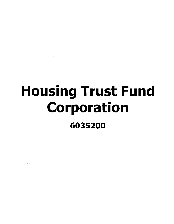# Housing Trust Fund Corporation 6035200

 $\mathcal{L}^{\text{max}}$  and  $\mathcal{L}^{\text{max}}$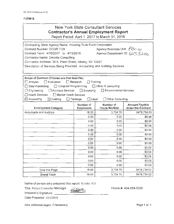#### FORM B

## New York State Consultant Services **Contractor's Annual Employment Report**

Report Period: April 1, 2017 to March 31, 2018

| Contracting State Agency Name: Housing Trust Fund Corporation                    |                                  |                                   |                                                    |  |  |  |
|----------------------------------------------------------------------------------|----------------------------------|-----------------------------------|----------------------------------------------------|--|--|--|
| Contract Number: GOSR TO8                                                        |                                  | Agency Business Unit: $f\ll \sim$ |                                                    |  |  |  |
| Contract Term: 4/15/2017 to 4/15/2018                                            |                                  | Agency Department ID: しつろこえのひ     |                                                    |  |  |  |
| Contractor Name: Deloitte Consulting                                             |                                  |                                   |                                                    |  |  |  |
| Contractor Address: 39 N. Pearl Street, Albany, NY 12207                         |                                  |                                   |                                                    |  |  |  |
| Description of Services Being Provided: Accounting and Auditing Services         |                                  |                                   |                                                    |  |  |  |
|                                                                                  |                                  |                                   |                                                    |  |  |  |
|                                                                                  |                                  |                                   |                                                    |  |  |  |
| Scope of Contract (Choose one that best fits):                                   |                                  |                                   |                                                    |  |  |  |
| $\Box$ Evaluation<br>$\Box$ Analysis                                             | Research                         | Training                          |                                                    |  |  |  |
| Computer Programming<br>Data Processing                                          |                                  | □ Other IT consulting             |                                                    |  |  |  |
| □ Architect Services □ Surveying<br>Environmental Services<br>$\Box$ Engineering |                                  |                                   |                                                    |  |  |  |
| □ Health Services<br>□ Mental Health Services                                    |                                  |                                   |                                                    |  |  |  |
| $\boxtimes$ Accounting<br>$\boxtimes$ Auditing                                   | $\Box$ Legal<br>$\Box$ Paralegal | □ Other Consulting                |                                                    |  |  |  |
| <b>Employment Category</b>                                                       | Number of<br><b>Employees</b>    | Number of<br><b>Hours Worked</b>  | <b>Amount Payable</b><br><b>Under the Contract</b> |  |  |  |
| <b>Acountants and Auditors</b>                                                   | 18.00                            | 3.734.75                          | \$478,734.53                                       |  |  |  |
|                                                                                  | 0.00                             | 0.00                              | \$0.00                                             |  |  |  |
|                                                                                  | 0.00                             | 0.00                              | \$0.00                                             |  |  |  |
|                                                                                  | 0.00                             | 0.00                              | \$0.00                                             |  |  |  |
|                                                                                  | 0.00                             | 0.00                              | \$0.00                                             |  |  |  |
|                                                                                  | 0.00                             | 0.00                              | \$0.00                                             |  |  |  |
|                                                                                  | 0.00                             | 0.00                              | \$0.00                                             |  |  |  |
|                                                                                  | 0.00                             | 0.00                              | \$0.00                                             |  |  |  |
|                                                                                  | 0.00                             | 0.00                              | \$0.00                                             |  |  |  |
|                                                                                  | 0.00                             | 0.00                              | \$0.00                                             |  |  |  |
|                                                                                  | 0.00                             | 0.00                              | \$0.00                                             |  |  |  |
|                                                                                  | 0.00                             | 0.00                              | \$0.00                                             |  |  |  |
|                                                                                  | 0.00                             | 0.00                              | \$0.00                                             |  |  |  |
| <b>Total this Page</b>                                                           | 18.00                            | 3,734.75                          | \$478,734.53                                       |  |  |  |
| <b>Grand Total</b>                                                               | 18.00                            | 3,734.75                          | \$478,734.53                                       |  |  |  |

Name of person who prepared this report: Kendra Hill

fandis Hitl

Title: Project Controller Manager

Preparer's Signature:

Date Prepared: 5/1 5/2018

(Use additional pages, if necessary)

Phone #: 404-859-5335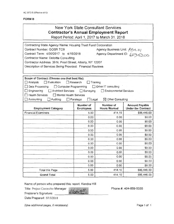#### FORM B

## New York State Consultant Services **Contractor's Annual Employment Report**

Report Period: April 1, 2017 to March 31, 2018

| Contracting State Agency Name: Housing Trust Fund Corporation |                                  |                                                                             |                                                    |
|---------------------------------------------------------------|----------------------------------|-----------------------------------------------------------------------------|----------------------------------------------------|
| Contract Number: GOSR TO9                                     |                                  | Agency Business Unit: $\hat{f}\hat{}$ Scol<br>Agency Department ID: 6035200 |                                                    |
| Contract Term: 4/30/2017 to 4/15/2018                         |                                  |                                                                             |                                                    |
| Contractor Name: Deloitte Consulting                          |                                  |                                                                             |                                                    |
| Contractor Address: 39 N. Pearl Street, Albany, NY 12207      |                                  |                                                                             |                                                    |
| Description of Services Being Provided: Financial Reviews     |                                  |                                                                             |                                                    |
|                                                               |                                  |                                                                             |                                                    |
| Scope of Contract (Choose one that best fits):                |                                  |                                                                             |                                                    |
| Analysis<br>$\Box$ Evaluation                                 | Research<br>Training             |                                                                             |                                                    |
| Data Processing<br>Computer Programming                       |                                  | Other IT consulting                                                         |                                                    |
| Engineering<br><b>Architect Services</b>                      | Surveying                        | Environmental Services                                                      |                                                    |
| Health Services<br>Mental Health Services                     |                                  |                                                                             |                                                    |
| Accounting<br>Auditing                                        | $\Box$ Legal<br>$\Box$ Paralegal | $\boxtimes$ Other Consulting                                                |                                                    |
| <b>Employment Category</b>                                    | Number of<br><b>Employees</b>    | Number of<br><b>Hours Worked</b>                                            | <b>Amount Payable</b><br><b>Under the Contract</b> |
| <b>Financial Examiners</b>                                    | 5.00                             | 414.15                                                                      | \$86,446.00                                        |
|                                                               | 0.00                             | 0.00                                                                        | \$0.00                                             |
|                                                               | 0.00                             | 0.00                                                                        | \$0.00                                             |
|                                                               | 0.00                             | 0.00                                                                        | \$0.00                                             |
|                                                               | 0.00                             | 0.00                                                                        | \$0.00                                             |
|                                                               | 0.00                             | 0.00                                                                        | \$0.00                                             |
|                                                               | 0.00                             | 0.00                                                                        | \$0.00                                             |
|                                                               | 0.00                             | 0.00                                                                        | \$0.00                                             |
|                                                               | 0.00                             | 0.00                                                                        | \$0.00                                             |
|                                                               | 0.00                             | 0.00                                                                        | \$0.00                                             |
|                                                               | 0.00                             | 0.00                                                                        | \$0.00                                             |
|                                                               | 0.00                             | 0.00                                                                        | \$0.00                                             |
|                                                               | 0.00                             | 0.00                                                                        | \$0.00                                             |
| <b>Total this Page</b>                                        | 5.00                             | 414.15                                                                      | \$86,446.00                                        |
| <b>Grand Total</b>                                            | 5.00                             | 414.15                                                                      | \$86,446.00                                        |

Name of person who prepared this report: Kendra Hill

Title: Project Controller Manager

Preparer's Signature:

Phone #: 404-859-5335

Date Prepared: 5/15/20 18

(Use additional pages, if necessary)